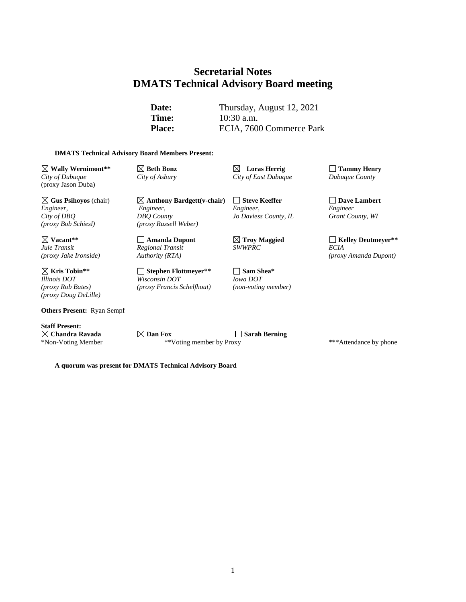# **Secretarial Notes DMATS Technical Advisory Board meeting**

**Date:** Thursday, August 12, 2021 **Time:** 10:30 a.m. Place: ECIA, 7600 Commerce Park

#### **DMATS Technical Advisory Board Members Present:**

**Wally Wernimont\*\* Beth Bonz Loras Herrig Tammy Henry** *City of Dubuque City of Asbury City of East Dubuque Dubuque County* (proxy Jason Duba)

**Gus Psihoyos** (chair) **Anthony Bardgett(v-chair) Steve Keeffer Dave Lambert** *Engineer, Engineer, Engineer, Engineer City of DBQ DBQ County Jo Daviess County, IL Grant County, WI (proxy Bob Schiesl) (proxy Russell Weber)*

*Regional Transit*<br>*Authority (RTA)* 

*Illinois DOT Wisconsin DOT Iowa DOT (proxy Rob Bates) (proxy Francis Schelfhout) (non-voting member)*

**Vacant\*\* Amanda Dupont Troy Maggied Kelley Deutmeyer\*\*** *(proxy Jake Ironside) Authority (RTA) (proxy Amanda Dupont)*

**Kris Tobin\*\* Stephen Flottmeyer\*\* Sam Shea\*** *(proxy Doug DeLille)*

**Others Present:** Ryan Sempf

**Staff Present:**

**Chandra Ravada Dan Fox Sarah Berning** \*Non-Voting Member \*\*Voting member by Proxy \*\*\*Attendance by phone

**A quorum was present for DMATS Technical Advisory Board**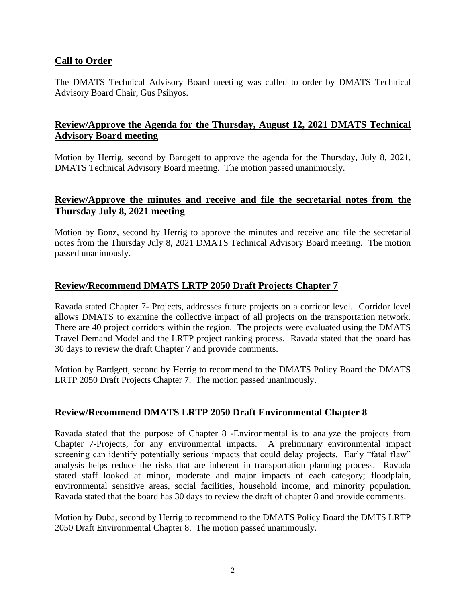## **Call to Order**

The DMATS Technical Advisory Board meeting was called to order by DMATS Technical Advisory Board Chair, Gus Psihyos.

## **Review/Approve the Agenda for the Thursday, August 12, 2021 DMATS Technical Advisory Board meeting**

Motion by Herrig, second by Bardgett to approve the agenda for the Thursday, July 8, 2021, DMATS Technical Advisory Board meeting. The motion passed unanimously.

## **Review/Approve the minutes and receive and file the secretarial notes from the Thursday July 8, 2021 meeting**

Motion by Bonz, second by Herrig to approve the minutes and receive and file the secretarial notes from the Thursday July 8, 2021 DMATS Technical Advisory Board meeting. The motion passed unanimously.

## **Review/Recommend DMATS LRTP 2050 Draft Projects Chapter 7**

Ravada stated Chapter 7- Projects, addresses future projects on a corridor level. Corridor level allows DMATS to examine the collective impact of all projects on the transportation network. There are 40 project corridors within the region. The projects were evaluated using the DMATS Travel Demand Model and the LRTP project ranking process. Ravada stated that the board has 30 days to review the draft Chapter 7 and provide comments.

Motion by Bardgett, second by Herrig to recommend to the DMATS Policy Board the DMATS LRTP 2050 Draft Projects Chapter 7. The motion passed unanimously.

### **Review/Recommend DMATS LRTP 2050 Draft Environmental Chapter 8**

Ravada stated that the purpose of Chapter 8 -Environmental is to analyze the projects from Chapter 7-Projects, for any environmental impacts. A preliminary environmental impact screening can identify potentially serious impacts that could delay projects. Early "fatal flaw" analysis helps reduce the risks that are inherent in transportation planning process. Ravada stated staff looked at minor, moderate and major impacts of each category; floodplain, environmental sensitive areas, social facilities, household income, and minority population. Ravada stated that the board has 30 days to review the draft of chapter 8 and provide comments.

Motion by Duba, second by Herrig to recommend to the DMATS Policy Board the DMTS LRTP 2050 Draft Environmental Chapter 8. The motion passed unanimously.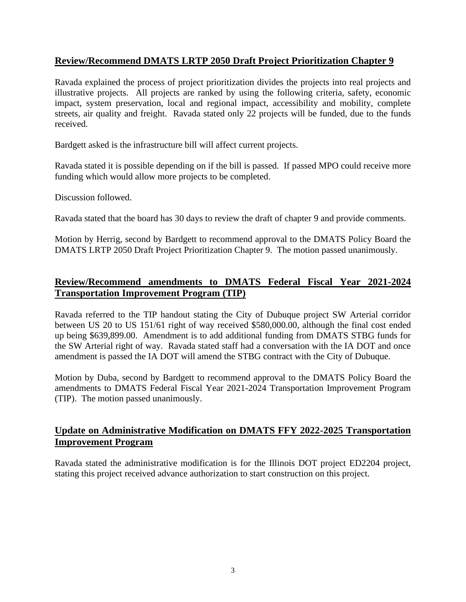## **Review/Recommend DMATS LRTP 2050 Draft Project Prioritization Chapter 9**

Ravada explained the process of project prioritization divides the projects into real projects and illustrative projects. All projects are ranked by using the following criteria, safety, economic impact, system preservation, local and regional impact, accessibility and mobility, complete streets, air quality and freight. Ravada stated only 22 projects will be funded, due to the funds received.

Bardgett asked is the infrastructure bill will affect current projects.

Ravada stated it is possible depending on if the bill is passed. If passed MPO could receive more funding which would allow more projects to be completed.

Discussion followed.

Ravada stated that the board has 30 days to review the draft of chapter 9 and provide comments.

Motion by Herrig, second by Bardgett to recommend approval to the DMATS Policy Board the DMATS LRTP 2050 Draft Project Prioritization Chapter 9. The motion passed unanimously.

# **Review/Recommend amendments to DMATS Federal Fiscal Year 2021-2024 Transportation Improvement Program (TIP)**

Ravada referred to the TIP handout stating the City of Dubuque project SW Arterial corridor between US 20 to US 151/61 right of way received \$580,000.00, although the final cost ended up being \$639,899.00. Amendment is to add additional funding from DMATS STBG funds for the SW Arterial right of way. Ravada stated staff had a conversation with the IA DOT and once amendment is passed the IA DOT will amend the STBG contract with the City of Dubuque.

Motion by Duba, second by Bardgett to recommend approval to the DMATS Policy Board the amendments to DMATS Federal Fiscal Year 2021-2024 Transportation Improvement Program (TIP). The motion passed unanimously.

# **Update on Administrative Modification on DMATS FFY 2022-2025 Transportation Improvement Program**

Ravada stated the administrative modification is for the Illinois DOT project ED2204 project, stating this project received advance authorization to start construction on this project.